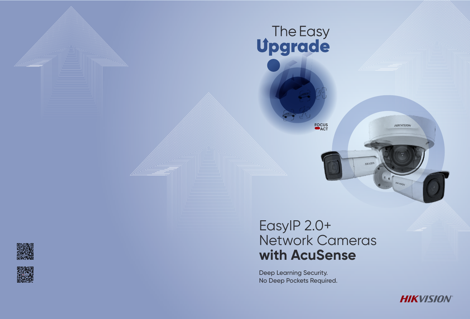

**FOCUS ACT** 





# EasyIP 2.0+ Network Cameras **with AcuSense**

Deep Learning Security. No Deep Pockets Required.



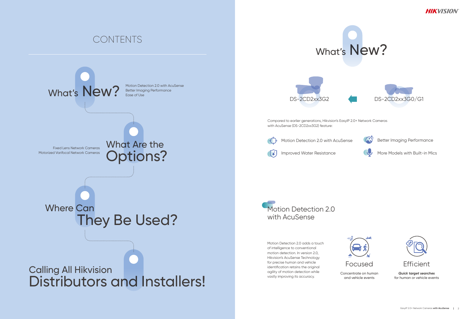## CONTENTS Motion Detection 2.0 with AcuSense Better Imaging Performance Ease of Use What Are the Options? Calling All Hikvision Distributors and Installers! Compared to earlier generations, Hikvision's EasyIP 2.0+ Network Cameras with AcuSense (DS-2CD2xx3G2) feature: What's New? Fixed Lens Network Cameras Motorized Varifocal Network Cameras They Be Used? Where Can DS-2CD2xx3G2 Motion Detection 2.0 adds a touch of intelligence to conventional motion detection. In version 2.0, Hikvision's AcuSense Technology for precise human and vehicle identification retains the original agility of motion detection while vastly improving its accuracy. Motion Detection 2.0 with AcuSense Improved Water Resistance More Models with Built-in Mics Motion Detection 2.0 with AcuSense  $\left(\begin{matrix} 0\\ 1 \end{matrix}\right)^2$  Better Imaging Performance





Concentrate on human and vehicle events



*Quick target searches* for human or vehicle events





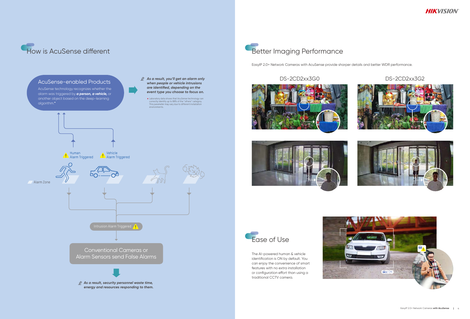



EasyIP 2.0+ Network Cameras with AcuSense provide sharper details and better WDR performance.

### DS-2CD2xx3G0 DS-2CD2xx3G2







The AI-powered human & vehicle identification is ON by default. You can enjoy the convenience of smart features with no extra installation or configuration effort than using a traditional CCTV camera.